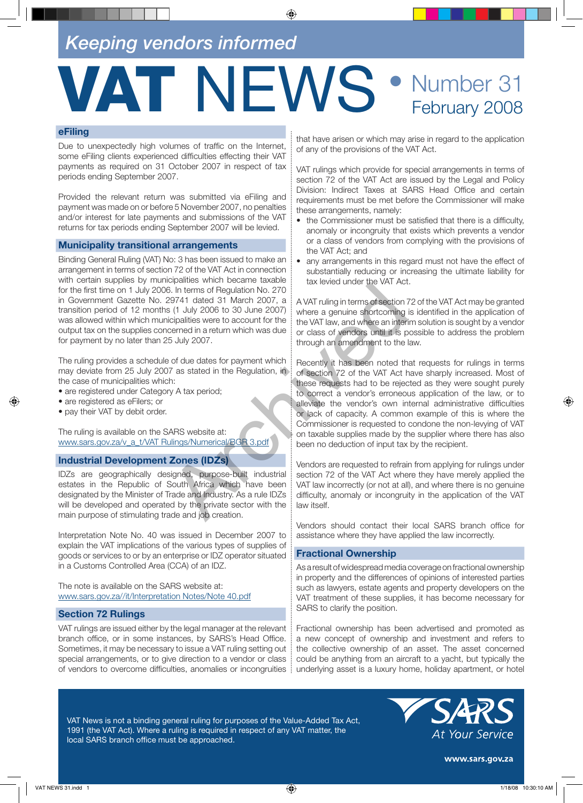## *Keeping vendors informed*

## VAT NEWS • Number 31 February 2008

#### **eFiling**

Due to unexpectedly high volumes of traffic on the Internet, some eFiling clients experienced difficulties effecting their VAT payments as required on 31 October 2007 in respect of tax periods ending September 2007.

Provided the relevant return was submitted via eFiling and payment was made on or before 5 November 2007, no penalties and/or interest for late payments and submissions of the VAT returns for tax periods ending September 2007 will be levied.

#### **Municipality transitional arrangements**

Binding General Ruling (VAT) No: 3 has been issued to make an arrangement in terms of section 72 of the VAT Act in connection with certain supplies by municipalities which became taxable for the first time on 1 July 2006. In terms of Regulation No. 270 in Government Gazette No. 29741 dated 31 March 2007, a transition period of 12 months (1 July 2006 to 30 June 2007) was allowed within which municipalities were to account for the output tax on the supplies concerned in a return which was due for payment by no later than 25 July 2007.

The ruling provides a schedule of due dates for payment which may deviate from 25 July 2007 as stated in the Regulation, in the case of municipalities which:

- are registered under Category A tax period;
- are registered as eFilers; or
- pay their VAT by debit order.

The ruling is available on the SARS website at: www.sars.gov.za/v\_a\_t/VAT Rulings/Numerical/BGR 3.pdf

#### **Industrial Development Zones (IDZs)**

IDZs are geographically designed, purpose-built industrial estates in the Republic of South Africa which have been designated by the Minister of Trade and Industry. As a rule IDZs will be developed and operated by the private sector with the main purpose of stimulating trade and job creation.

Interpretation Note No. 40 was issued in December 2007 to explain the VAT implications of the various types of supplies of goods or services to or by an enterprise or IDZ operator situated in a Customs Controlled Area (CCA) of an IDZ.

The note is available on the SARS website at: www.sars.gov.za//it/Interpretation Notes/Note 40.pdf

#### **Section 72 Rulings**

VAT rulings are issued either by the legal manager at the relevant branch office, or in some instances, by SARS's Head Office. Sometimes, it may be necessary to issue a VAT ruling setting out special arrangements, or to give direction to a vendor or class of vendors to overcome difficulties, anomalies or incongruities

that have arisen or which may arise in regard to the application of any of the provisions of the VAT Act.

VAT rulings which provide for special arrangements in terms of section 72 of the VAT Act are issued by the Legal and Policy Division: Indirect Taxes at SARS Head Office and certain requirements must be met before the Commissioner will make these arrangements, namely:

- the Commissioner must be satisfied that there is a difficulty, anomaly or incongruity that exists which prevents a vendor or a class of vendors from complying with the provisions of the VAT Act; and
- any arrangements in this regard must not have the effect of substantially reducing or increasing the ultimate liability for tax levied under the VAT Act.

A VAT ruling in terms of section 72 of the VAT Act may be granted where a genuine shortcoming is identified in the application of the VAT law, and where an interim solution is sought by a vendor or class of vendors until it is possible to address the problem through an amendment to the law.

Recently it has been noted that requests for rulings in terms of section 72 of the VAT Act have sharply increased. Most of these requests had to be rejected as they were sought purely to correct a vendor's erroneous application of the law, or to alleviate the vendor's own internal administrative difficulties or lack of capacity. A common example of this is where the Commissioner is requested to condone the non-levying of VAT on taxable supplies made by the supplier where there has also been no deduction of input tax by the recipient. Solution International Case of the VAT Action 3.<br>
A VAT ruling in terms of section 7<br>
29741 dated 31 March 2007, a<br>
(1 July 2006 to 30 June 2007) where a genuine shortcoming<br>
ciclopatities were to account for the the VAT l

Vendors are requested to refrain from applying for rulings under section 72 of the VAT Act where they have merely applied the VAT law incorrectly (or not at all), and where there is no genuine difficulty, anomaly or incongruity in the application of the VAT law itself.

Vendors should contact their local SARS branch office for assistance where they have applied the law incorrectly.

#### **Fractional Ownership**

As a result of widespread media coverage on fractional ownership in property and the differences of opinions of interested parties such as lawyers, estate agents and property developers on the VAT treatment of these supplies, it has become necessary for SARS to clarify the position.

Fractional ownership has been advertised and promoted as a new concept of ownership and investment and refers to the collective ownership of an asset. The asset concerned could be anything from an aircraft to a yacht, but typically the underlying asset is a luxury home, holiday apartment, or hotel

VAT News is not a binding general ruling for purposes of the Value-Added Tax Act, 1991 (the VAT Act). Where a ruling is required in respect of any VAT matter, the local SARS branch office must be approached.



www.sars.gov.za